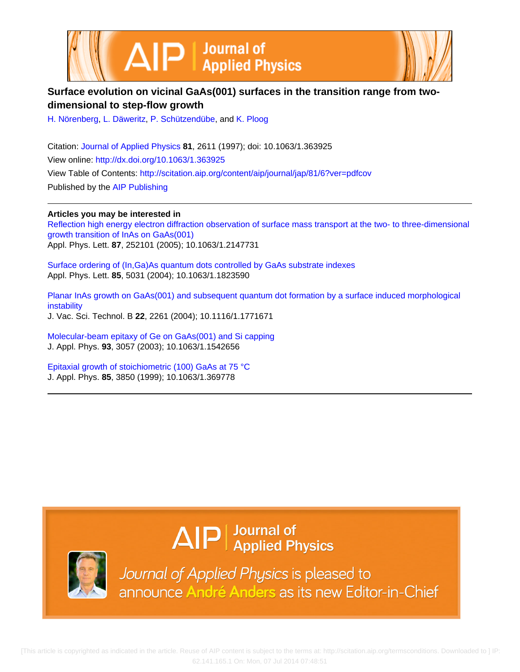



## **Surface evolution on vicinal GaAs(001) surfaces in the transition range from twodimensional to step-flow growth**

[H. Nörenberg](http://scitation.aip.org/search?value1=H.+N�renberg&option1=author), [L. Däweritz,](http://scitation.aip.org/search?value1=L.+D�weritz&option1=author) [P. Schützendübe](http://scitation.aip.org/search?value1=P.+Sch�tzend�be&option1=author), and [K. Ploog](http://scitation.aip.org/search?value1=K.+Ploog&option1=author)

Citation: [Journal of Applied Physics](http://scitation.aip.org/content/aip/journal/jap?ver=pdfcov) **81**, 2611 (1997); doi: 10.1063/1.363925 View online: <http://dx.doi.org/10.1063/1.363925> View Table of Contents: <http://scitation.aip.org/content/aip/journal/jap/81/6?ver=pdfcov> Published by the [AIP Publishing](http://scitation.aip.org/content/aip?ver=pdfcov)

**Articles you may be interested in** [Reflection high energy electron diffraction observation of surface mass transport at the two- to three-dimensional](http://scitation.aip.org/content/aip/journal/apl/87/25/10.1063/1.2147731?ver=pdfcov) [growth transition of InAs on GaAs\(001\)](http://scitation.aip.org/content/aip/journal/apl/87/25/10.1063/1.2147731?ver=pdfcov) Appl. Phys. Lett. **87**, 252101 (2005); 10.1063/1.2147731

[Surface ordering of \(In,Ga\)As quantum dots controlled by GaAs substrate indexes](http://scitation.aip.org/content/aip/journal/apl/85/21/10.1063/1.1823590?ver=pdfcov) Appl. Phys. Lett. **85**, 5031 (2004); 10.1063/1.1823590

[Planar InAs growth on GaAs\(001\) and subsequent quantum dot formation by a surface induced morphological](http://scitation.aip.org/content/avs/journal/jvstb/22/4/10.1116/1.1771671?ver=pdfcov) [instability](http://scitation.aip.org/content/avs/journal/jvstb/22/4/10.1116/1.1771671?ver=pdfcov) J. Vac. Sci. Technol. B **22**, 2261 (2004); 10.1116/1.1771671

[Molecular-beam epitaxy of Ge on GaAs\(001\) and Si capping](http://scitation.aip.org/content/aip/journal/jap/93/5/10.1063/1.1542656?ver=pdfcov) J. Appl. Phys. **93**, 3057 (2003); 10.1063/1.1542656

[Epitaxial growth of stoichiometric \(100\) GaAs at 75 °C](http://scitation.aip.org/content/aip/journal/jap/85/7/10.1063/1.369778?ver=pdfcov) J. Appl. Phys. **85**, 3850 (1999); 10.1063/1.369778

# $\Delta$   $\vert P \vert$  Journal of Applied Physics



Journal of Applied Physics is pleased to announce André Anders as its new Editor-in-Chief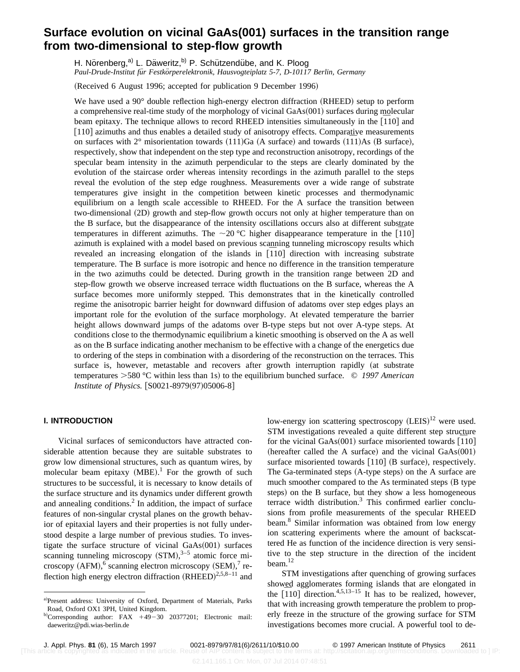# **Surface evolution on vicinal GaAs(001) surfaces in the transition range from two-dimensional to step-flow growth**

H. Nörenberg,<sup>a)</sup> L. Däweritz,<sup>b)</sup> P. Schützendübe, and K. Ploog *Paul-Drude-Institut fu¨r Festko¨rperelektronik, Hausvogteiplatz 5-7, D-10117 Berlin, Germany*

(Received 6 August 1996; accepted for publication 9 December 1996)

We have used a  $90^{\circ}$  double reflection high-energy electron diffraction (RHEED) setup to perform a comprehensive real-time study of the morphology of vicinal  $GaAs(001)$  surfaces during molecular a comprehensive real-time study of the morphology of vicinal GaAs(001) surfaces during molecular<br>beam epitaxy. The technique allows to record RHEED intensities simultaneously in the  $\overline{[110]}$  and [110] azimuths and thus enables a detailed study of anisotropy effects. Comparative measurements  $110$  azimuths and thus enables a detailed study of anisotropy effects. Comparative measurements<br>on surfaces with 2° misorientation towards  $(111)Ga$  (A surface) and towards  $(1\overline{1}1)As$  (B surface), respectively, show that independent on the step type and reconstruction anisotropy, recordings of the specular beam intensity in the azimuth perpendicular to the steps are clearly dominated by the evolution of the staircase order whereas intensity recordings in the azimuth parallel to the steps reveal the evolution of the step edge roughness. Measurements over a wide range of substrate temperatures give insight in the competition between kinetic processes and thermodynamic equilibrium on a length scale accessible to RHEED. For the A surface the transition between two-dimensional (2D) growth and step-flow growth occurs not only at higher temperature than on the B surface, but the disappearance of the intensity oscillations occurs also at different substrate the B surface, but the disappearance of the intensity oscillations occurs also at different substrate temperatures in different azimuths. The  $\sim$ 20 °C higher disappearance temperature in the [10] azimuth is explained with a model based on previous scanning tunneling microscopy results which azimuth is explained with a model based on previous scanning tunneling microscopy results which<br>revealed an increasing elongation of the islands in  $\overline{[110]}$  direction with increasing substrate temperature. The B surface is more isotropic and hence no difference in the transition temperature in the two azimuths could be detected. During growth in the transition range between 2D and step-flow growth we observe increased terrace width fluctuations on the B surface, whereas the A surface becomes more uniformly stepped. This demonstrates that in the kinetically controlled regime the anisotropic barrier height for downward diffusion of adatoms over step edges plays an important role for the evolution of the surface morphology. At elevated temperature the barrier height allows downward jumps of the adatoms over B-type steps but not over A-type steps. At conditions close to the thermodynamic equilibrium a kinetic smoothing is observed on the A as well as on the B surface indicating another mechanism to be effective with a change of the energetics due to ordering of the steps in combination with a disordering of the reconstruction on the terraces. This surface is, however, metastable and recovers after growth interruption rapidly (at substrate temperatures  $>580$  °C within less than 1s) to the equilibrium bunched surface. © 1997 American *Institute of Physics.* [S0021-8979(97)05006-8]

## **I. INTRODUCTION**

Vicinal surfaces of semiconductors have attracted considerable attention because they are suitable substrates to grow low dimensional structures, such as quantum wires, by molecular beam epitaxy  $(MBE)$ .<sup>1</sup> For the growth of such structures to be successful, it is necessary to know details of the surface structure and its dynamics under different growth and annealing conditions.<sup>2</sup> In addition, the impact of surface features of non-singular crystal planes on the growth behavior of epitaxial layers and their properties is not fully understood despite a large number of previous studies. To investigate the surface structure of vicinal  $GaAs(001)$  surfaces scanning tunneling microscopy  $(STM),^{3-5}$  atomic force microscopy (AFM), $<sup>6</sup>$  scanning electron microscopy (SEM), $<sup>7</sup>$  re-</sup></sup> flection high energy electron diffraction  $(RHEED)^{2,5,8-11}$  and

low-energy ion scattering spectroscopy  $(LEIS)^{12}$  were used. STM investigations revealed a quite different step structure STM investigations revealed a quite different step structure<br>for the vicinal GaAs(001) surface misoriented towards  $\overline{[110]}$ (hereafter called the A surface) and the vicinal  $GaAs(001)$ surface misoriented towards  $[110]$  (B surface), respectively. The Ga-terminated steps  $(A$ -type steps) on the A surface are much smoother compared to the As terminated steps (B type) steps) on the B surface, but they show a less homogeneous terrace width distribution. $3$  This confirmed earlier conclusions from profile measurements of the specular RHEED beam.<sup>8</sup> Similar information was obtained from low energy ion scattering experiments where the amount of backscattered He as function of the incidence direction is very sensitive to the step structure in the direction of the incident beam.<sup>12</sup>

STM investigations after quenching of growing surfaces showed agglomerates forming islands that are elongated in showed agglomerates forming islands that are elongated in the  $\left[110\right]$  direction.<sup>4,5,13–15</sup> It has to be realized, however, that with increasing growth temperature the problem to properly freeze in the structure of the growing surface for STM investigations becomes more crucial. A powerful tool to de-

a)Present address: University of Oxford, Department of Materials, Parks Road, Oxford OX1 3PH, United Kingdom.

 $b)$ Corresponding author: FAX  $+49-30$  20377201; Electronic mail: daeweritz@pdi.wias-berlin.de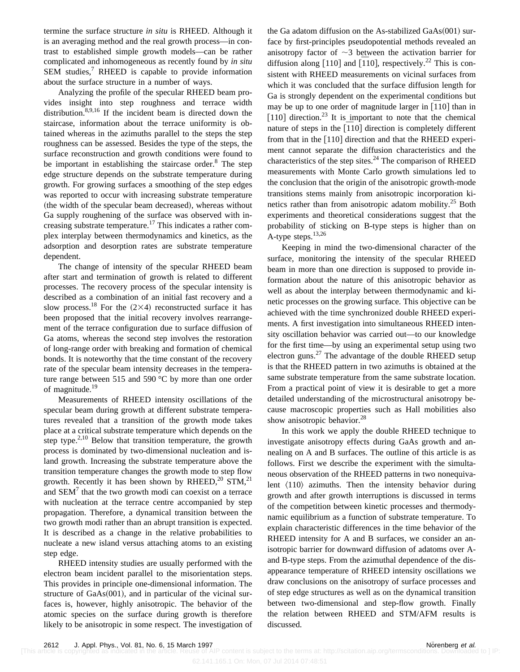termine the surface structure *in situ* is RHEED. Although it is an averaging method and the real growth process—in contrast to established simple growth models—can be rather complicated and inhomogeneous as recently found by *in situ*  $SEM$  studies,<sup>7</sup> RHEED is capable to provide information about the surface structure in a number of ways.

Analyzing the profile of the specular RHEED beam provides insight into step roughness and terrace width distribution.<sup>8,9,16</sup> If the incident beam is directed down the staircase, information about the terrace uniformity is obtained whereas in the azimuths parallel to the steps the step roughness can be assessed. Besides the type of the steps, the surface reconstruction and growth conditions were found to be important in establishing the staircase order. $8$  The step edge structure depends on the substrate temperature during growth. For growing surfaces a smoothing of the step edges was reported to occur with increasing substrate temperature (the width of the specular beam decreased), whereas without Ga supply roughening of the surface was observed with increasing substrate temperature.<sup>17</sup> This indicates a rather complex interplay between thermodynamics and kinetics, as the adsorption and desorption rates are substrate temperature dependent.

The change of intensity of the specular RHEED beam after start and termination of growth is related to different processes. The recovery process of the specular intensity is described as a combination of an initial fast recovery and a slow process.<sup>18</sup> For the  $(2\times4)$  reconstructed surface it has been proposed that the initial recovery involves rearrangement of the terrace configuration due to surface diffusion of Ga atoms, whereas the second step involves the restoration of long-range order with breaking and formation of chemical bonds. It is noteworthy that the time constant of the recovery rate of the specular beam intensity decreases in the temperature range between 515 and 590 °C by more than one order of magnitude.<sup>19</sup>

Measurements of RHEED intensity oscillations of the specular beam during growth at different substrate temperatures revealed that a transition of the growth mode takes place at a critical substrate temperature which depends on the step type. $2,10$  Below that transition temperature, the growth process is dominated by two-dimensional nucleation and island growth. Increasing the substrate temperature above the transition temperature changes the growth mode to step flow growth. Recently it has been shown by  $RHEED<sup>20</sup>$  STM,<sup>21</sup> and  $SEM<sup>7</sup>$  that the two growth modi can coexist on a terrace with nucleation at the terrace centre accompanied by step propagation. Therefore, a dynamical transition between the two growth modi rather than an abrupt transition is expected. It is described as a change in the relative probabilities to nucleate a new island versus attaching atoms to an existing step edge.

RHEED intensity studies are usually performed with the electron beam incident parallel to the misorientation steps. This provides in principle one-dimensional information. The structure of  $GaAs(001)$ , and in particular of the vicinal surfaces is, however, highly anisotropic. The behavior of the atomic species on the surface during growth is therefore likely to be anisotropic in some respect. The investigation of the Ga adatom diffusion on the As-stabilized  $GaAs(001)$  surface by first-principles pseudopotential methods revealed an anisotropy factor of  $\sim$ 3 between the activation barrier for anisotropy factor of  $\sim$  5 between the activation barrier for diffusion along [110] and [110], respectively.<sup>22</sup> This is consistent with RHEED measurements on vicinal surfaces from which it was concluded that the surface diffusion length for Ga is strongly dependent on the experimental conditions but Ga is strongly dependent on the experimental conditions but<br>may be up to one order of magnitude larger in  $\left[110\right]$  than in [110] direction.<sup>23</sup> It is important to note that the chemical  $\lceil 110 \rceil$  direction. It is important to note that the chemical nature of steps in the  $\lceil 110 \rceil$  direction is completely different from that in the  $[110]$  direction and that the RHEED experiment cannot separate the diffusion characteristics and the characteristics of the step sites. $^{24}$  The comparison of RHEED measurements with Monte Carlo growth simulations led to the conclusion that the origin of the anisotropic growth-mode transitions stems mainly from anisotropic incorporation kinetics rather than from anisotropic adatom mobility.<sup>25</sup> Both experiments and theoretical considerations suggest that the probability of sticking on B-type steps is higher than on A-type steps.13,26

Keeping in mind the two-dimensional character of the surface, monitoring the intensity of the specular RHEED beam in more than one direction is supposed to provide information about the nature of this anisotropic behavior as well as about the interplay between thermodynamic and kinetic processes on the growing surface. This objective can be achieved with the time synchronized double RHEED experiments. A first investigation into simultaneous RHEED intensity oscillation behavior was carried out—to our knowledge for the first time—by using an experimental setup using two electron guns.<sup>27</sup> The advantage of the double RHEED setup is that the RHEED pattern in two azimuths is obtained at the same substrate temperature from the same substrate location. From a practical point of view it is desirable to get a more detailed understanding of the microstructural anisotropy because macroscopic properties such as Hall mobilities also show anisotropic behavior.<sup>28</sup>

In this work we apply the double RHEED technique to investigate anisotropy effects during GaAs growth and annealing on A and B surfaces. The outline of this article is as follows. First we describe the experiment with the simultaneous observation of the RHEED patterns in two nonequivalent  $\langle 110 \rangle$  azimuths. Then the intensity behavior during growth and after growth interruptions is discussed in terms of the competition between kinetic processes and thermodynamic equilibrium as a function of substrate temperature. To explain characteristic differences in the time behavior of the RHEED intensity for A and B surfaces, we consider an anisotropic barrier for downward diffusion of adatoms over Aand B-type steps. From the azimuthal dependence of the disappearance temperature of RHEED intensity oscillations we draw conclusions on the anisotropy of surface processes and of step edge structures as well as on the dynamical transition between two-dimensional and step-flow growth. Finally the relation between RHEED and STM/AFM results is discussed.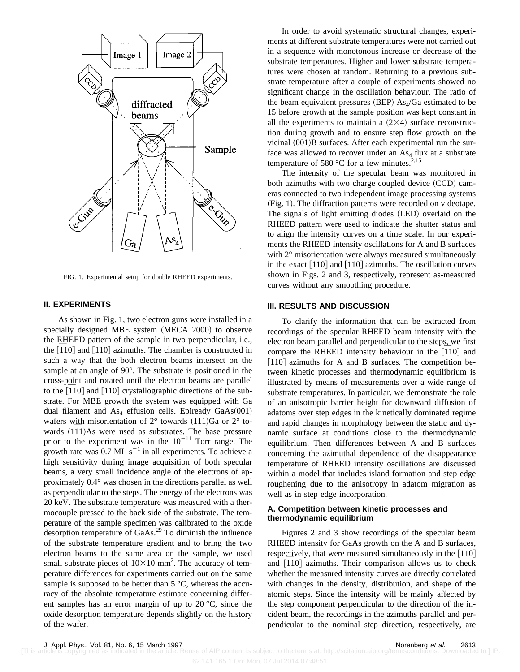

FIG. 1. Experimental setup for double RHEED experiments.

## **II. EXPERIMENTS**

As shown in Fig. 1, two electron guns were installed in a specially designed MBE system (MECA 2000) to observe the RHEED pattern of the sample in two perpendicular, i.e., the RHEED pattern of the sample in two perpendicular, i.e., the  $\left[110\right]$  and  $\left[110\right]$  azimuths. The chamber is constructed in such a way that the both electron beams intersect on the sample at an angle of 90°. The substrate is positioned in the cross-point and rotated until the electron beams are parallel cross-point and rotated until the electron beams are parallel<br>to the  $\left[110\right]$  and  $\left[110\right]$  crystallographic directions of the substrate. For MBE growth the system was equipped with Ga dual filament and  $As_4$  effusion cells. Epiready GaAs $(001)$ wafers with misorientation of  $2^{\circ}$  towards  $(111)Ga$  or  $2^{\circ}$  towaters with misorientation of 2 $\degree$  towards (111)Ga or 2 $\degree$  towards (111)As were used as substrates. The base pressure prior to the experiment was in the  $10^{-11}$  Torr range. The growth rate was  $0.7$  ML s<sup>-1</sup> in all experiments. To achieve a high sensitivity during image acquisition of both specular beams, a very small incidence angle of the electrons of approximately 0.4° was chosen in the directions parallel as well as perpendicular to the steps. The energy of the electrons was 20 keV. The substrate temperature was measured with a thermocouple pressed to the back side of the substrate. The temperature of the sample specimen was calibrated to the oxide desorption temperature of GaAs.29 To diminish the influence of the substrate temperature gradient and to bring the two electron beams to the same area on the sample, we used small substrate pieces of  $10\times10$  mm<sup>2</sup>. The accuracy of temperature differences for experiments carried out on the same sample is supposed to be better than  $5^{\circ}C$ , whereas the accuracy of the absolute temperature estimate concerning different samples has an error margin of up to 20 °C, since the oxide desorption temperature depends slightly on the history of the wafer.

In order to avoid systematic structural changes, experiments at different substrate temperatures were not carried out in a sequence with monotonous increase or decrease of the substrate temperatures. Higher and lower substrate temperatures were chosen at random. Returning to a previous substrate temperature after a couple of experiments showed no significant change in the oscillation behaviour. The ratio of the beam equivalent pressures (BEP)  $As<sub>4</sub>/Ga$  estimated to be 15 before growth at the sample position was kept constant in all the experiments to maintain a  $(2\times4)$  surface reconstruction during growth and to ensure step flow growth on the vicinal  $(001)$ B surfaces. After each experimental run the surface was allowed to recover under an  $As<sub>4</sub>$  flux at a substrate temperature of 580 °C for a few minutes.<sup>2,15</sup>

The intensity of the specular beam was monitored in both azimuths with two charge coupled device  $(CCD)$  cameras connected to two independent image processing systems (Fig. 1). The diffraction patterns were recorded on videotape. The signals of light emitting diodes (LED) overlaid on the RHEED pattern were used to indicate the shutter status and to align the intensity curves on a time scale. In our experiments the RHEED intensity oscillations for A and B surfaces with 2<sup>°</sup> misorientation were always measured simultaneously with  $2^{\circ}$  misorientation were always measured simultaneously<br>in the exact  $\left[110\right]$  and  $\left[110\right]$  azimuths. The oscillation curves shown in Figs. 2 and 3, respectively, represent as-measured curves without any smoothing procedure.

## **III. RESULTS AND DISCUSSION**

To clarify the information that can be extracted from recordings of the specular RHEED beam intensity with the electron beam parallel and perpendicular to the steps, we first electron beam parallel and perpendicular to the steps, we first<br>compare the RHEED intensity behaviour in the  $[110]$  and  $[110]$  azimuths for A and B surfaces. The competition between kinetic processes and thermodynamic equilibrium is illustrated by means of measurements over a wide range of substrate temperatures. In particular, we demonstrate the role of an anisotropic barrier height for downward diffusion of adatoms over step edges in the kinetically dominated regime and rapid changes in morphology between the static and dynamic surface at conditions close to the thermodynamic equilibrium. Then differences between A and B surfaces concerning the azimuthal dependence of the disappearance temperature of RHEED intensity oscillations are discussed within a model that includes island formation and step edge roughening due to the anisotropy in adatom migration as well as in step edge incorporation.

## **A. Competition between kinetic processes and thermodynamic equilibrium**

Figures 2 and 3 show recordings of the specular beam RHEED intensity for GaAs growth on the A and B surfaces, respectively, that were measured simultaneously in the  $[110]$ respectively, that were measured simultaneously in the  $[110]$  and  $[110]$  azimuths. Their comparison allows us to check whether the measured intensity curves are directly correlated with changes in the density, distribution, and shape of the atomic steps. Since the intensity will be mainly affected by the step component perpendicular to the direction of the incident beam, the recordings in the azimuths parallel and perpendicular to the nominal step direction, respectively, are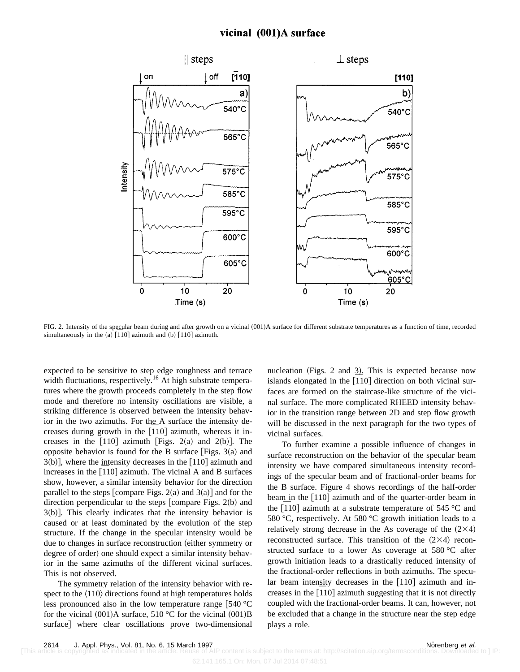## vicinal (001)A surface



FIG. 2. Intensity of the specular beam during and after growth on a vicinal (001)A surface for different substrate temperatures as a function of time, recorded FIG. 2. Intensity of the specular beam during and after growth  $\alpha$  simultaneously in the  $\alpha$  [110] azimuth.

expected to be sensitive to step edge roughness and terrace width fluctuations, respectively.<sup>16</sup> At high substrate temperatures where the growth proceeds completely in the step flow mode and therefore no intensity oscillations are visible, a striking difference is observed between the intensity behavior in the two azimuths. For the A surface the intensity defor in the two azimuths. For the A surface the intensity decreases during growth in the  $\left[110\right]$  azimuth, whereas it increases in the  $[110]$  azimuth  $[Figs. 2(a)$  and  $2(b)$ . The opposite behavior is found for the B surface [Figs.  $3(a)$  and  $3(b)$ , where the intensity decreases in the  $[110]$  azimuth and  $\beta(b)$ , where the intensity decreases in the [110] azimuth and increases in the [110] azimuth. The vicinal A and B surfaces show, however, a similar intensity behavior for the direction parallel to the steps  $[compare Figs. 2(a)$  and  $3(a)]$  and for the direction perpendicular to the steps  $[compare$  Figs. 2(b) and  $3(b)$ ]. This clearly indicates that the intensity behavior is caused or at least dominated by the evolution of the step structure. If the change in the specular intensity would be due to changes in surface reconstruction (either symmetry or degree of order) one should expect a similar intensity behavior in the same azimuths of the different vicinal surfaces. This is not observed.

The symmetry relation of the intensity behavior with respect to the  $\langle 110 \rangle$  directions found at high temperatures holds less pronounced also in the low temperature range  $\vert$  540 °C for the vicinal  $(001)$ A surface, 510 °C for the vicinal  $(001)$ B surface] where clear oscillations prove two-dimensional nucleation (Figs. 2 and 3). This is expected because now nucleation (Figs. 2 and 3). This is expected because now<br>islands elongated in the  $\overline{110}$  direction on both vicinal surfaces are formed on the staircase-like structure of the vicinal surface. The more complicated RHEED intensity behavior in the transition range between 2D and step flow growth will be discussed in the next paragraph for the two types of vicinal surfaces.

To further examine a possible influence of changes in surface reconstruction on the behavior of the specular beam intensity we have compared simultaneous intensity recordings of the specular beam and of fractional-order beams for the B surface. Figure 4 shows recordings of the half-order beam in the  $[110]$  azimuth and of the quarter-order beam in beam in the  $[110]$  azimuth and or the quarter-order beam in<br>the  $[110]$  azimuth at a substrate temperature of 545 °C and 580 °C, respectively. At 580 °C growth initiation leads to a relatively strong decrease in the As coverage of the  $(2\times4)$ reconstructed surface. This transition of the  $(2\times4)$  reconstructed surface to a lower As coverage at 580 °C after growth initiation leads to a drastically reduced intensity of the fractional-order reflections in both azimuths. The specular beam intensity decreases in the  $[110]$  azimuth and inar beam intensity decreases in the  $[110]$  azimuth and increases in the  $[110]$  azimuth suggesting that it is not directly coupled with the fractional-order beams. It can, however, not be excluded that a change in the structure near the step edge plays a role.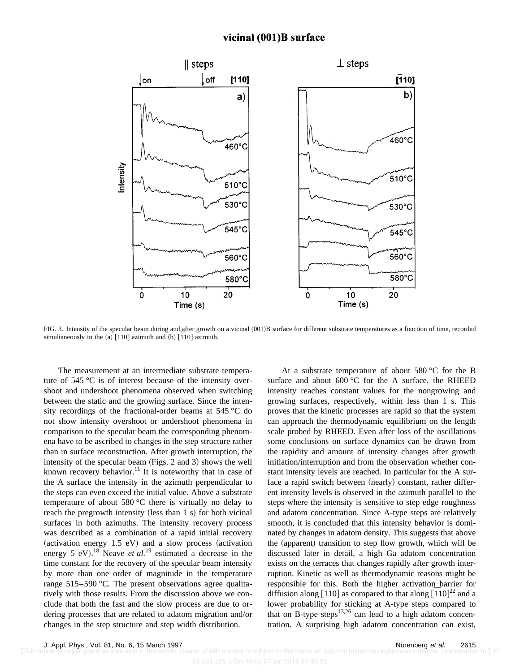## vicinal (001)B surface



FIG. 3. Intensity of the specular beam during and after growth on a vicinal (001)B surface for different substrate temperatures as a function of time, recorded FIG. 3. Intensity of the specular beam during and after growth  $\alpha$  simultaneously in the (a) [110] azimuth and (b) [110] azimuth.

The measurement at an intermediate substrate temperature of 545 °C is of interest because of the intensity overshoot and undershoot phenomena observed when switching between the static and the growing surface. Since the intensity recordings of the fractional-order beams at 545 °C do not show intensity overshoot or undershoot phenomena in comparison to the specular beam the corresponding phenomena have to be ascribed to changes in the step structure rather than in surface reconstruction. After growth interruption, the intensity of the specular beam (Figs.  $2$  and  $3$ ) shows the well known recovery behavior.<sup>11</sup> It is noteworthy that in case of the A surface the intensity in the azimuth perpendicular to the steps can even exceed the initial value. Above a substrate temperature of about 580 °C there is virtually no delay to reach the pregrowth intensity (less than  $1 \text{ s}$ ) for both vicinal surfaces in both azimuths. The intensity recovery process was described as a combination of a rapid initial recovery (activation energy  $1.5$  eV) and a slow process (activation energy 5 eV).<sup>18</sup> Neave *et al.*<sup>19</sup> estimated a decrease in the time constant for the recovery of the specular beam intensity by more than one order of magnitude in the temperature range 515–590 °C. The present observations agree qualitatively with those results. From the discussion above we conclude that both the fast and the slow process are due to ordering processes that are related to adatom migration and/or changes in the step structure and step width distribution.

At a substrate temperature of about 580 °C for the B surface and about  $600^{\circ}$ C for the A surface, the RHEED intensity reaches constant values for the nongrowing and growing surfaces, respectively, within less than 1 s. This proves that the kinetic processes are rapid so that the system can approach the thermodynamic equilibrium on the length scale probed by RHEED. Even after loss of the oscillations some conclusions on surface dynamics can be drawn from the rapidity and amount of intensity changes after growth initiation/interruption and from the observation whether constant intensity levels are reached. In particular for the A surface a rapid switch between (nearly) constant, rather different intensity levels is observed in the azimuth parallel to the steps where the intensity is sensitive to step edge roughness and adatom concentration. Since A-type steps are relatively smooth, it is concluded that this intensity behavior is dominated by changes in adatom density. This suggests that above the (apparent) transition to step flow growth, which will be discussed later in detail, a high Ga adatom concentration exists on the terraces that changes rapidly after growth interruption. Kinetic as well as thermodynamic reasons might be responsible for this. Both the higher activation barrier for responsible for this. Both the higher activation barrier for<br>diffusion along [110] as compared to that along [110]<sup>22</sup> and a lower probability for sticking at A-type steps compared to that on B-type steps<sup>13,26</sup> can lead to a high adatom concentration. A surprising high adatom concentration can exist,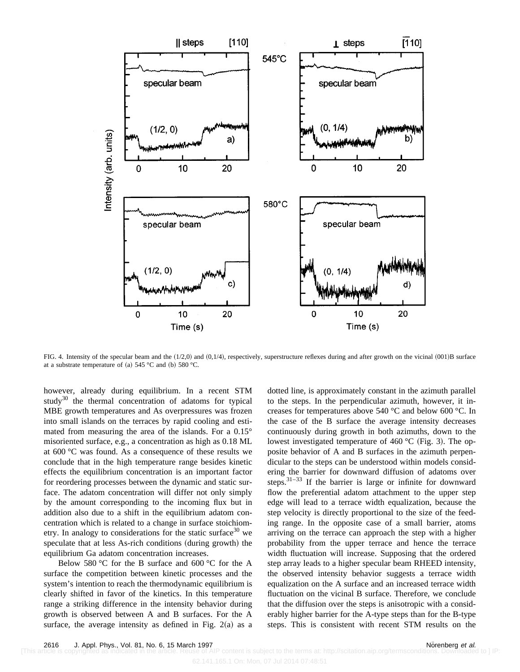

FIG. 4. Intensity of the specular beam and the  $(1/2,0)$  and  $(0,1/4)$ , respectively, superstructure reflexes during and after growth on the vicinal  $(001)$ B surface at a substrate temperature of (a)  $545 °C$  and (b)  $580 °C$ .

however, already during equilibrium. In a recent STM study<sup>30</sup> the thermal concentration of adatoms for typical MBE growth temperatures and As overpressures was frozen into small islands on the terraces by rapid cooling and estimated from measuring the area of the islands. For a 0.15° misoriented surface, e.g., a concentration as high as 0.18 ML at 600 °C was found. As a consequence of these results we conclude that in the high temperature range besides kinetic effects the equilibrium concentration is an important factor for reordering processes between the dynamic and static surface. The adatom concentration will differ not only simply by the amount corresponding to the incoming flux but in addition also due to a shift in the equilibrium adatom concentration which is related to a change in surface stoichiometry. In analogy to considerations for the static surface<sup>30</sup> we speculate that at less As-rich conditions (during growth) the equilibrium Ga adatom concentration increases.

Below 580 °C for the B surface and 600 °C for the A surface the competition between kinetic processes and the system's intention to reach the thermodynamic equilibrium is clearly shifted in favor of the kinetics. In this temperature range a striking difference in the intensity behavior during growth is observed between A and B surfaces. For the A surface, the average intensity as defined in Fig.  $2(a)$  as a dotted line, is approximately constant in the azimuth parallel to the steps. In the perpendicular azimuth, however, it increases for temperatures above 540 °C and below 600 °C. In the case of the B surface the average intensity decreases continuously during growth in both azimuths, down to the lowest investigated temperature of 460  $\rm{°C}$  (Fig. 3). The opposite behavior of A and B surfaces in the azimuth perpendicular to the steps can be understood within models considering the barrier for downward diffusion of adatoms over steps.31–33 If the barrier is large or infinite for downward flow the preferential adatom attachment to the upper step edge will lead to a terrace width equalization, because the step velocity is directly proportional to the size of the feeding range. In the opposite case of a small barrier, atoms arriving on the terrace can approach the step with a higher probability from the upper terrace and hence the terrace width fluctuation will increase. Supposing that the ordered step array leads to a higher specular beam RHEED intensity, the observed intensity behavior suggests a terrace width equalization on the A surface and an increased terrace width fluctuation on the vicinal B surface. Therefore, we conclude that the diffusion over the steps is anisotropic with a considerably higher barrier for the A-type steps than for the B-type steps. This is consistent with recent STM results on the

IP content is subject to the terms at: http://scitation.aip.org/termsconditions. Downloaded to ] IP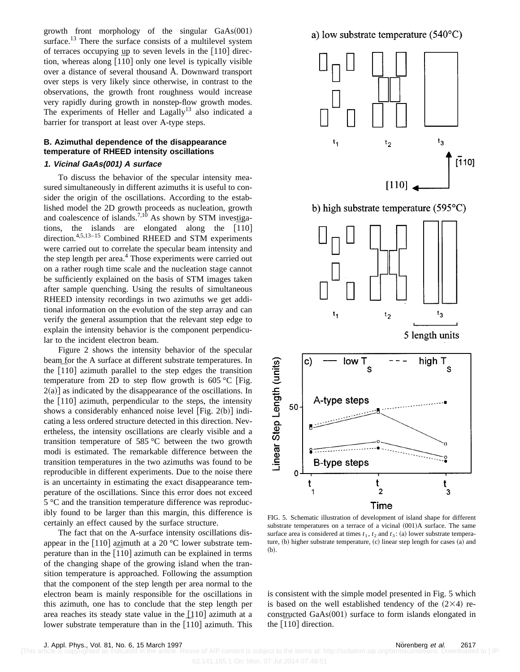growth front morphology of the singular  $GaAs(001)$ surface.<sup>13</sup> There the surface consists of a multilevel system of terraces occupying up to seven levels in the  $[110]$  direcof terraces occupying up to seven levels in the  $[110]$  direction, whereas along  $[1\overline{10}]$  only one level is typically visible over a distance of several thousand Å. Downward transport over steps is very likely since otherwise, in contrast to the observations, the growth front roughness would increase very rapidly during growth in nonstep-flow growth modes. The experiments of Heller and  $Lagally$ <sup>13</sup> also indicated a barrier for transport at least over A-type steps.

## **B. Azimuthal dependence of the disappearance temperature of RHEED intensity oscillations**

## **1. Vicinal GaAs(001) A surface**

To discuss the behavior of the specular intensity measured simultaneously in different azimuths it is useful to consider the origin of the oscillations. According to the established model the 2D growth proceeds as nucleation, growth and coalescence of islands.<sup>7,10</sup> As shown by STM investigaand coalescence of islands.  $\frac{3}{10}$  As shown by STM investigations, the islands are elongated along the  $\left[110\right]$ direction.<sup>4,5,13-15</sup> Combined RHEED and STM experiments were carried out to correlate the specular beam intensity and the step length per area. $4$  Those experiments were carried out on a rather rough time scale and the nucleation stage cannot be sufficiently explained on the basis of STM images taken after sample quenching. Using the results of simultaneous RHEED intensity recordings in two azimuths we get additional information on the evolution of the step array and can verify the general assumption that the relevant step edge to explain the intensity behavior is the component perpendicular to the incident electron beam.

Figure 2 shows the intensity behavior of the specular beam for the A surface at different substrate temperatures. In beam for the A surface at different substrate temperatures. In the  $\left[110\right]$  azimuth parallel to the step edges the transition temperature from 2D to step flow growth is 605 °C [Fig.  $2(a)$ ] as indicated by the disappearance of the oscillations. In the  $[110]$  azimuth, perpendicular to the steps, the intensity shows a considerably enhanced noise level [Fig. 2(b)] indicating a less ordered structure detected in this direction. Nevertheless, the intensity oscillations are clearly visible and a transition temperature of 585 °C between the two growth modi is estimated. The remarkable difference between the transition temperatures in the two azimuths was found to be reproducible in different experiments. Due to the noise there is an uncertainty in estimating the exact disappearance temperature of the oscillations. Since this error does not exceed 5 °C and the transition temperature difference was reproducibly found to be larger than this margin, this difference is certainly an effect caused by the surface structure.

The fact that on the A-surface intensity oscillations disappear in the [110] azimuth at a 20  $^{\circ}$ C lower substrate temappear in the [110] azimuth at a 20 °C lower substrate temperature than in the  $\left[\overline{1}10\right]$  azimuth can be explained in terms of the changing shape of the growing island when the transition temperature is approached. Following the assumption that the component of the step length per area normal to the electron beam is mainly responsible for the oscillations in this azimuth, one has to conclude that the step length per area reaches its steady state value in the  $[110]$  azimuth at a area reaches its steady state value in the  $\lfloor 110 \rfloor$  azimuth at a<br>lower substrate temperature than in the  $\lfloor 110 \rfloor$  azimuth. This

a) low substrate temperature  $(540^{\circ}C)$ 



b) high substrate temperature  $(595^{\circ}C)$ 



FIG. 5. Schematic illustration of development of island shape for different substrate temperatures on a terrace of a vicinal  $(001)$ A surface. The same surface area is considered at times  $t_1$ ,  $t_2$  and  $t_3$ : (a) lower substrate temperature,  $(b)$  higher substrate temperature,  $(c)$  linear step length for cases  $(a)$  and  $(b)$ .

is consistent with the simple model presented in Fig. 5 which is based on the well established tendency of the  $(2\times4)$  reconstructed  $GaAs(001)$  surface to form islands elongated in constructed GaAs(0<br>the  $\left[110\right]$  direction.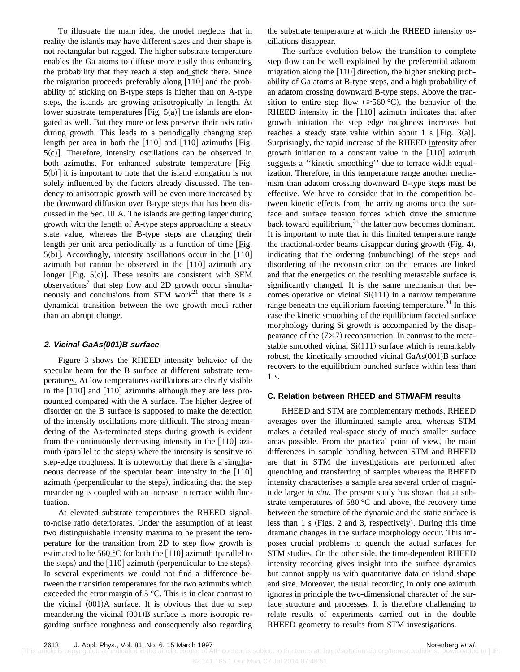To illustrate the main idea, the model neglects that in reality the islands may have different sizes and their shape is not rectangular but ragged. The higher substrate temperature enables the Ga atoms to diffuse more easily thus enhancing the probability that they reach a step and stick there. Since the probability that they reach a step and stick there. Since<br>the migration proceeds preferably along  $\overline{[110]}$  and the probability of sticking on B-type steps is higher than on A-type steps, the islands are growing anisotropically in length. At lower substrate temperatures [Fig.  $5(a)$ ] the islands are elongated as well. But they more or less preserve their axis ratio during growth. This leads to a periodically changing step during growth. This leads to a periodically changing step<br>length per area in both the  $[110]$  and  $[110]$  azimuths [Fig.  $5(c)$ ]. Therefore, intensity oscillations can be observed in both azimuths. For enhanced substrate temperature [Fig.  $5(b)$  it is important to note that the island elongation is not solely influenced by the factors already discussed. The tendency to anisotropic growth will be even more increased by the downward diffusion over B-type steps that has been discussed in the Sec. III A. The islands are getting larger during growth with the length of A-type steps approaching a steady state value, whereas the B-type steps are changing their length per unit area periodically as a function of time  $[Fig.$ length per unit area periodically as a function of time  $[Fig. 5(b)]$ . Accordingly, intensity oscillations occur in the  $[110]$ azimuth but cannot be observed in the  $[110]$  azimuth any longer [Fig.  $5(c)$ ]. These results are consistent with SEM observations<sup>7</sup> that step flow and 2D growth occur simultaneously and conclusions from STM work<sup>21</sup> that there is a dynamical transition between the two growth modi rather than an abrupt change.

## **2. Vicinal GaAs(001)B surface**

Figure 3 shows the RHEED intensity behavior of the specular beam for the B surface at different substrate temperatures. At low temperatures oscillations are clearly visible peratures. At low temperatures oscillations are clearly visible<br>in the  $\left[\overline{1}10\right]$  and  $\left[110\right]$  azimuths although they are less pronounced compared with the A surface. The higher degree of disorder on the B surface is supposed to make the detection of the intensity oscillations more difficult. The strong meandering of the As-terminated steps during growth is evident from the continuously decreasing intensity in the  $[110]$  azimuth (parallel to the steps) where the intensity is sensitive to step-edge roughness. It is noteworthy that there is a simultastep-edge roughness. It is noteworthy that there is a simulta-<br>neous decrease of the specular beam intensity in the  $\overline{1}10$ azimuth (perpendicular to the steps), indicating that the step meandering is coupled with an increase in terrace width fluctuation.

At elevated substrate temperatures the RHEED signalto-noise ratio deteriorates. Under the assumption of at least two distinguishable intensity maxima to be present the temperature for the transition from 2D to step flow growth is estimated to be 560  $\degree$ C for both the [110] azimuth (parallel to estimated to be 560  $^{\circ}$ C for both the [110] azimuth (parallel to the steps).<br>the steps) and the [110] azimuth (perpendicular to the steps). In several experiments we could not find a difference between the transition temperatures for the two azimuths which exceeded the error margin of 5 °C. This is in clear contrast to the vicinal  $(001)$ A surface. It is obvious that due to step meandering the vicinal  $(001)B$  surface is more isotropic regarding surface roughness and consequently also regarding the substrate temperature at which the RHEED intensity oscillations disappear.

The surface evolution below the transition to complete step flow can be well explained by the preferential adatom step flow can be well explained by the preferential adatom<br>migration along the  $\left[110\right]$  direction, the higher sticking probability of Ga atoms at B-type steps, and a high probability of an adatom crossing downward B-type steps. Above the transition to entire step flow  $(\geq 560 \degree C)$ , the behavior of the RHEED intensity in the  $[110]$  azimuth indicates that after growth initiation the step edge roughness increases but reaches a steady state value within about 1 s [Fig. 3(a)]. Surprisingly, the rapid increase of the RHEED intensity after Surprisingly, the rapid increase of the KHEED intensity after growth initiation to a constant value in the  $\left[110\right]$  azimuth suggests a ''kinetic smoothing'' due to terrace width equalization. Therefore, in this temperature range another mechanism than adatom crossing downward B-type steps must be effective. We have to consider that in the competition between kinetic effects from the arriving atoms onto the surface and surface tension forces which drive the structure back toward equilibrium, $^{34}$  the latter now becomes dominant. It is important to note that in this limited temperature range the fractional-order beams disappear during growth (Fig. 4), indicating that the ordering (unbunching) of the steps and disordering of the reconstruction on the terraces are linked and that the energetics on the resulting metastable surface is significantly changed. It is the same mechanism that becomes operative on vicinal  $Si(111)$  in a narrow temperature range beneath the equilibrium faceting temperature.<sup>34</sup> In this case the kinetic smoothing of the equilibrium faceted surface morphology during Si growth is accompanied by the disappearance of the  $(7\times7)$  reconstruction. In contrast to the metastable smoothed vicinal  $Si(111)$  surface which is remarkably robust, the kinetically smoothed vicinal  $GaAs(001)B$  surface recovers to the equilibrium bunched surface within less than 1 s.

## **C. Relation between RHEED and STM/AFM results**

RHEED and STM are complementary methods. RHEED averages over the illuminated sample area, whereas STM makes a detailed real-space study of much smaller surface areas possible. From the practical point of view, the main differences in sample handling between STM and RHEED are that in STM the investigations are performed after quenching and transferring of samples whereas the RHEED intensity characterises a sample area several order of magnitude larger *in situ*. The present study has shown that at substrate temperatures of 580 °C and above, the recovery time between the structure of the dynamic and the static surface is less than  $1 \times$  (Figs. 2 and 3, respectively). During this time dramatic changes in the surface morphology occur. This imposes crucial problems to quench the actual surfaces for STM studies. On the other side, the time-dependent RHEED intensity recording gives insight into the surface dynamics but cannot supply us with quantitative data on island shape and size. Moreover, the usual recording in only one azimuth ignores in principle the two-dimensional character of the surface structure and processes. It is therefore challenging to relate results of experiments carried out in the double RHEED geometry to results from STM investigations.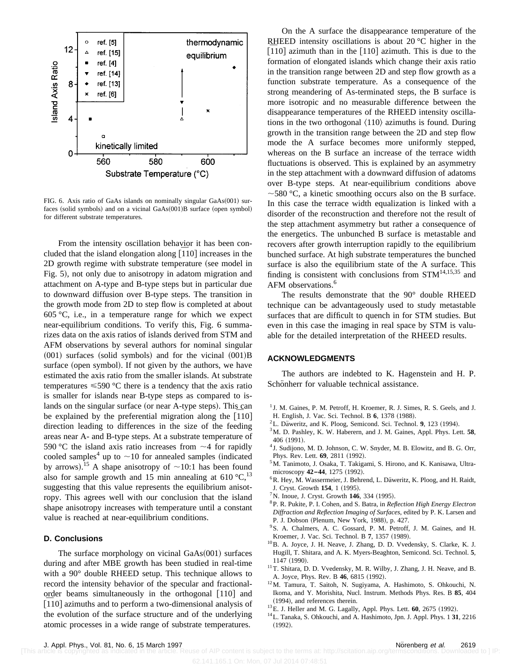

FIG. 6. Axis ratio of GaAs islands on nominally singular  $GaAs(001)$  sur $faces$  (solid symbols) and on a vicinal  $GaAs(001)B$  surface (open symbol) for different substrate temperatures.

From the intensity oscillation behavior it has been con-From the intensity oscillation behavior it has been concluded that the island elongation along  $\left[110\right]$  increases in the 2D growth regime with substrate temperature (see model in Fig. 5), not only due to anisotropy in adatom migration and attachment on A-type and B-type steps but in particular due to downward diffusion over B-type steps. The transition in the growth mode from 2D to step flow is completed at about  $605 \degree C$ , i.e., in a temperature range for which we expect near-equilibrium conditions. To verify this, Fig. 6 summarizes data on the axis ratios of islands derived from STM and AFM observations by several authors for nominal singular  $(001)$  surfaces (solid symbols) and for the vicinal  $(001)B$ surface (open symbol). If not given by the authors, we have estimated the axis ratio from the smaller islands. At substrate temperatures  $\leq 590$  °C there is a tendency that the axis ratio is smaller for islands near B-type steps as compared to islands on the singular surface (or near A-type steps). This can lands on the singular surface (or near A-type steps). This can<br>be explained by the preferential migration along the  $[110]$ direction leading to differences in the size of the feeding areas near A- and B-type steps. At a substrate temperature of 590 °C the island axis ratio increases from  $\sim$ 4 for rapidly cooled samples<sup>4</sup> up to  $\sim$ 10 for annealed samples (indicated by arrows).<sup>15</sup> A shape anisotropy of  $\sim$ 10:1 has been found also for sample growth and 15 min annealing at 610  $^{\circ}C$ ,  $^{13}$ suggesting that this value represents the equilibrium anisotropy. This agrees well with our conclusion that the island shape anisotropy increases with temperature until a constant value is reached at near-equilibrium conditions.

#### **D. Conclusions**

The surface morphology on vicinal  $GaAs(001)$  surfaces during and after MBE growth has been studied in real-time with a 90° double RHEED setup. This technique allows to record the intensity behavior of the specular and fractionalorder beams simultaneously in the orthogonal [110] and order beams simultaneously in the orthogonal  $[110]$  and  $[110]$  azimuths and to perform a two-dimensional analysis of the evolution of the surface structure and of the underlying atomic processes in a wide range of substrate temperatures.

On the A surface the disappearance temperature of the RHEED intensity oscillations is about 20 $\degree$ C higher in the RHEED intensity oscillations is about 20 °C higher in the  $\left[110\right]$  azimuth than in the  $\left[110\right]$  azimuth. This is due to the formation of elongated islands which change their axis ratio in the transition range between 2D and step flow growth as a function substrate temperature. As a consequence of the strong meandering of As-terminated steps, the B surface is more isotropic and no measurable difference between the disappearance temperatures of the RHEED intensity oscillations in the two orthogonal  $\langle 110 \rangle$  azimuths is found. During growth in the transition range between the 2D and step flow mode the A surface becomes more uniformly stepped, whereas on the B surface an increase of the terrace width fluctuations is observed. This is explained by an asymmetry in the step attachment with a downward diffusion of adatoms over B-type steps. At near-equilibrium conditions above  $\sim$  580 °C, a kinetic smoothing occurs also on the B surface. In this case the terrace width equalization is linked with a disorder of the reconstruction and therefore not the result of the step attachment asymmetry but rather a consequence of the energetics. The unbunched B surface is metastable and recovers after growth interruption rapidly to the equilibrium bunched surface. At high substrate temperatures the bunched surface is also the equilibrium state of the A surface. This finding is consistent with conclusions from  $STM^{14,15,35}$  and AFM observations.<sup>6</sup>

The results demonstrate that the 90° double RHEED technique can be advantageously used to study metastable surfaces that are difficult to quench in for STM studies. But even in this case the imaging in real space by STM is valuable for the detailed interpretation of the RHEED results.

## **ACKNOWLEDGMENTS**

The authors are indebted to K. Hagenstein and H. P. Schönherr for valuable technical assistance.

- <sup>1</sup> J. M. Gaines, P. M. Petroff, H. Kroemer, R. J. Simes, R. S. Geels, and J. H. English, J. Vac. Sci. Technol. B 6, 1378 (1988).
- <sup>2</sup>L. Daweritz, and K. Ploog, Semicond. Sci. Technol. 9, 123 (1994).
- 3M. D. Pashley, K. W. Haberern, and J. M. Gaines, Appl. Phys. Lett. **58**, 406 (1991).
- <sup>4</sup> J. Sudijono, M. D. Johnson, C. W. Snyder, M. B. Elowitz, and B. G. Orr, Phys. Rev. Lett. 69, 2811 (1992).
- <sup>5</sup>M. Tanimoto, J. Osaka, T. Takigami, S. Hirono, and K. Kanisawa, Ultramicroscopy **42-44**, 1275 (1992).
- <sup>6</sup>R. Hey, M. Wassermeier, J. Behrend, L. Däweritz, K. Ploog, and H. Raidt, J. Cryst. Growth 154, 1 (1995).
- ${}^{7}$ N. Inoue, J. Cryst. Growth **146**, 334 (1995).
- 8P. R. Pukite, P. I. Cohen, and S. Batra, in *Reflection High Energy Electron Diffraction and Reflection Imaging of Surfaces*, edited by P. K. Larsen and P. J. Dobson (Plenum, New York, 1988), p. 427.
- 9S. A. Chalmers, A. C. Gossard, P. M. Petroff, J. M. Gaines, and H. Kroemer, J. Vac. Sci. Technol. B 7, 1357 (1989).
- 10B. A. Joyce, J. H. Neave, J. Zhang, D. D. Vvedensky, S. Clarke, K. J. Hugill, T. Shitara, and A. K. Myers-Beaghton, Semicond. Sci. Technol. **5**, 1147 (1990).
- <sup>11</sup>T. Shitara, D. D. Vvedensky, M. R. Wilby, J. Zhang, J. H. Neave, and B. A. Joyce, Phys. Rev. B 46, 6815 (1992).
- 12M. Tamura, T. Saitoh, N. Sugiyama, A. Hashimoto, S. Ohkouchi, N. Ikoma, and Y. Morishita, Nucl. Instrum. Methods Phys. Res. B **85**, 404 (1994), and references therein.
- <sup>13</sup>E. J. Heller and M. G. Lagally, Appl. Phys. Lett. **60**, 2675 (1992).
- 14L. Tanaka, S. Ohkouchi, and A. Hashimoto, Jpn. J. Appl. Phys. 1 **31**, 2216  $(1992).$